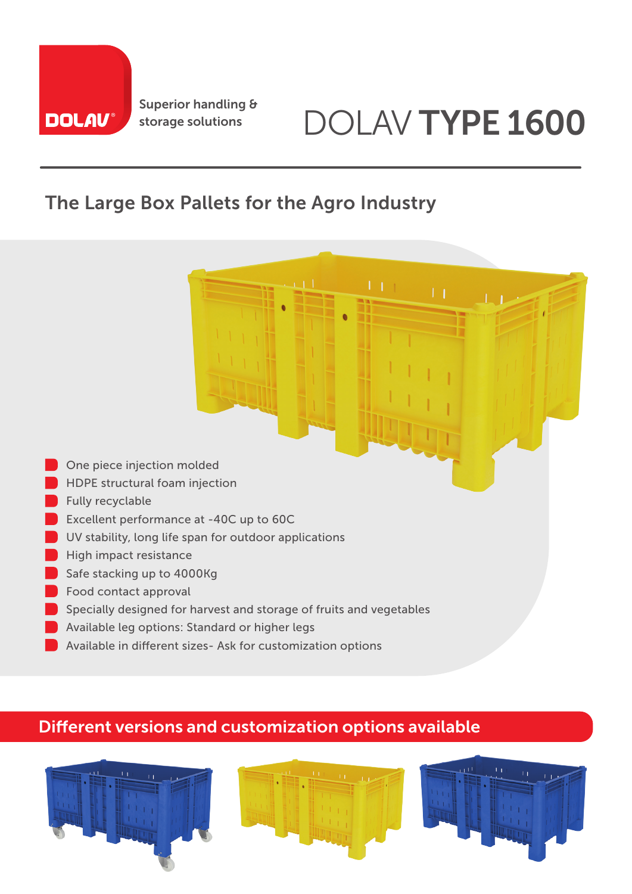

# storage solutions DOLAV TYPE 1600

### The Large Box Pallets for the Agro Industry

- **One piece injection molded**
- HDPE structural foam injection
- Fully recyclable
- **Excellent performance at -40C up to 60C**
- UV stability, long life span for outdoor applications
- **High impact resistance**
- Safe stacking up to 4000Kg
- Food contact approval
- Specially designed for harvest and storage of fruits and vegetables
- Available leg options: Standard or higher legs
- Available in different sizes- Ask for customization options

#### Different versions and customization options available